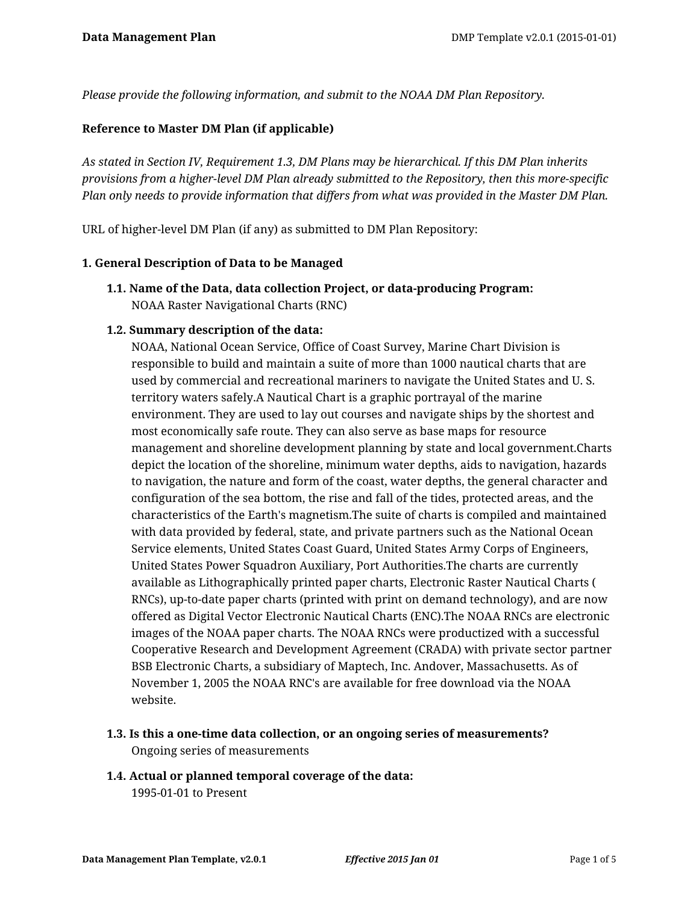*Please provide the following information, and submit to the NOAA DM Plan Repository.*

#### **Reference to Master DM Plan (if applicable)**

*As stated in Section IV, Requirement 1.3, DM Plans may be hierarchical. If this DM Plan inherits provisions from a higher-level DM Plan already submitted to the Repository, then this more-specific Plan only needs to provide information that differs from what was provided in the Master DM Plan.*

URL of higher-level DM Plan (if any) as submitted to DM Plan Repository:

#### **1. General Description of Data to be Managed**

**1.1. Name of the Data, data collection Project, or data-producing Program:** NOAA Raster Navigational Charts (RNC)

#### **1.2. Summary description of the data:**

NOAA, National Ocean Service, Office of Coast Survey, Marine Chart Division is responsible to build and maintain a suite of more than 1000 nautical charts that are used by commercial and recreational mariners to navigate the United States and U. S. territory waters safely.A Nautical Chart is a graphic portrayal of the marine environment. They are used to lay out courses and navigate ships by the shortest and most economically safe route. They can also serve as base maps for resource management and shoreline development planning by state and local government.Charts depict the location of the shoreline, minimum water depths, aids to navigation, hazards to navigation, the nature and form of the coast, water depths, the general character and configuration of the sea bottom, the rise and fall of the tides, protected areas, and the characteristics of the Earth's magnetism.The suite of charts is compiled and maintained with data provided by federal, state, and private partners such as the National Ocean Service elements, United States Coast Guard, United States Army Corps of Engineers, United States Power Squadron Auxiliary, Port Authorities.The charts are currently available as Lithographically printed paper charts, Electronic Raster Nautical Charts ( RNCs), up-to-date paper charts (printed with print on demand technology), and are now offered as Digital Vector Electronic Nautical Charts (ENC).The NOAA RNCs are electronic images of the NOAA paper charts. The NOAA RNCs were productized with a successful Cooperative Research and Development Agreement (CRADA) with private sector partner BSB Electronic Charts, a subsidiary of Maptech, Inc. Andover, Massachusetts. As of November 1, 2005 the NOAA RNC's are available for free download via the NOAA website.

- **1.3. Is this a one-time data collection, or an ongoing series of measurements?** Ongoing series of measurements
- **1.4. Actual or planned temporal coverage of the data:** 1995-01-01 to Present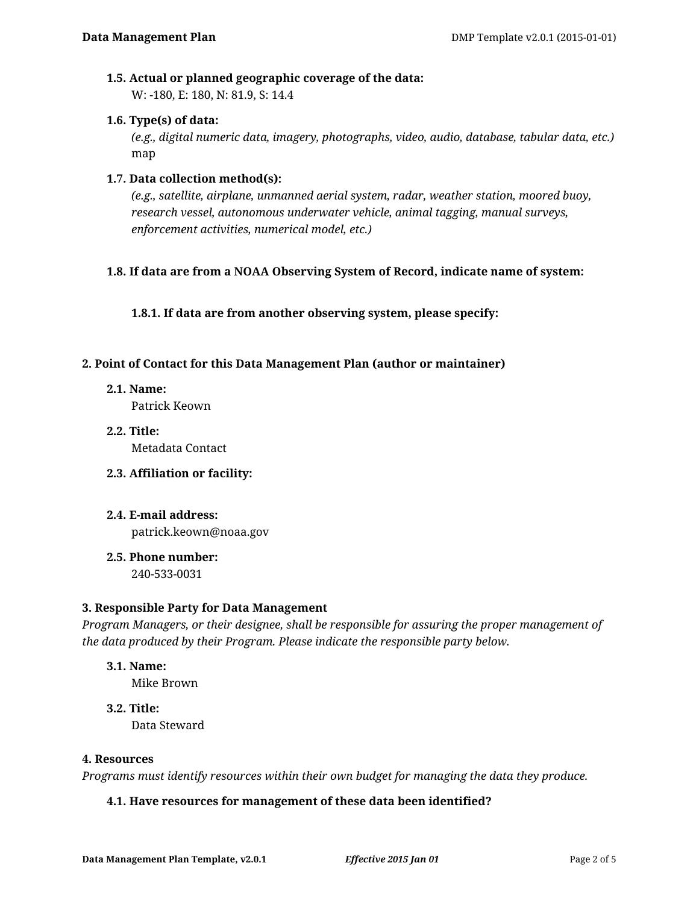### **1.5. Actual or planned geographic coverage of the data:**

W: -180, E: 180, N: 81.9, S: 14.4

### **1.6. Type(s) of data:**

*(e.g., digital numeric data, imagery, photographs, video, audio, database, tabular data, etc.)* map

### **1.7. Data collection method(s):**

*(e.g., satellite, airplane, unmanned aerial system, radar, weather station, moored buoy, research vessel, autonomous underwater vehicle, animal tagging, manual surveys, enforcement activities, numerical model, etc.)*

### **1.8. If data are from a NOAA Observing System of Record, indicate name of system:**

**1.8.1. If data are from another observing system, please specify:**

#### **2. Point of Contact for this Data Management Plan (author or maintainer)**

**2.1. Name:**

Patrick Keown

**2.2. Title:** Metadata Contact

### **2.3. Affiliation or facility:**

- **2.4. E-mail address:** patrick.keown@noaa.gov
- **2.5. Phone number:**

240-533-0031

### **3. Responsible Party for Data Management**

*Program Managers, or their designee, shall be responsible for assuring the proper management of the data produced by their Program. Please indicate the responsible party below.*

# **3.1. Name:**

Mike Brown

**3.2. Title:** Data Steward

#### **4. Resources**

*Programs must identify resources within their own budget for managing the data they produce.*

### **4.1. Have resources for management of these data been identified?**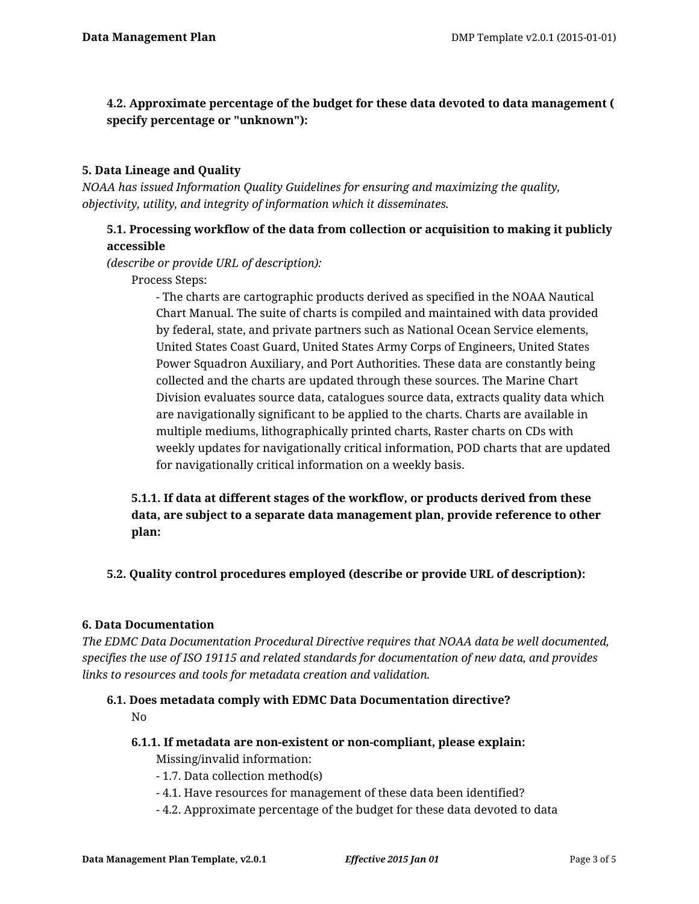# **4.2. Approximate percentage of the budget for these data devoted to data management ( specify percentage or "unknown"):**

### **5. Data Lineage and Quality**

*NOAA has issued Information Quality Guidelines for ensuring and maximizing the quality, objectivity, utility, and integrity of information which it disseminates.*

# **5.1. Processing workflow of the data from collection or acquisition to making it publicly accessible**

*(describe or provide URL of description):*

Process Steps:

- The charts are cartographic products derived as specified in the NOAA Nautical Chart Manual. The suite of charts is compiled and maintained with data provided by federal, state, and private partners such as National Ocean Service elements, United States Coast Guard, United States Army Corps of Engineers, United States Power Squadron Auxiliary, and Port Authorities. These data are constantly being collected and the charts are updated through these sources. The Marine Chart Division evaluates source data, catalogues source data, extracts quality data which are navigationally significant to be applied to the charts. Charts are available in multiple mediums, lithographically printed charts, Raster charts on CDs with weekly updates for navigationally critical information, POD charts that are updated for navigationally critical information on a weekly basis.

**5.1.1. If data at different stages of the workflow, or products derived from these data, are subject to a separate data management plan, provide reference to other plan:**

**5.2. Quality control procedures employed (describe or provide URL of description):**

### **6. Data Documentation**

*The EDMC Data Documentation Procedural Directive requires that NOAA data be well documented, specifies the use of ISO 19115 and related standards for documentation of new data, and provides links to resources and tools for metadata creation and validation.*

#### **6.1. Does metadata comply with EDMC Data Documentation directive?** No

- **6.1.1. If metadata are non-existent or non-compliant, please explain:** Missing/invalid information:
	- 1.7. Data collection method(s)
	- 4.1. Have resources for management of these data been identified?
	- 4.2. Approximate percentage of the budget for these data devoted to data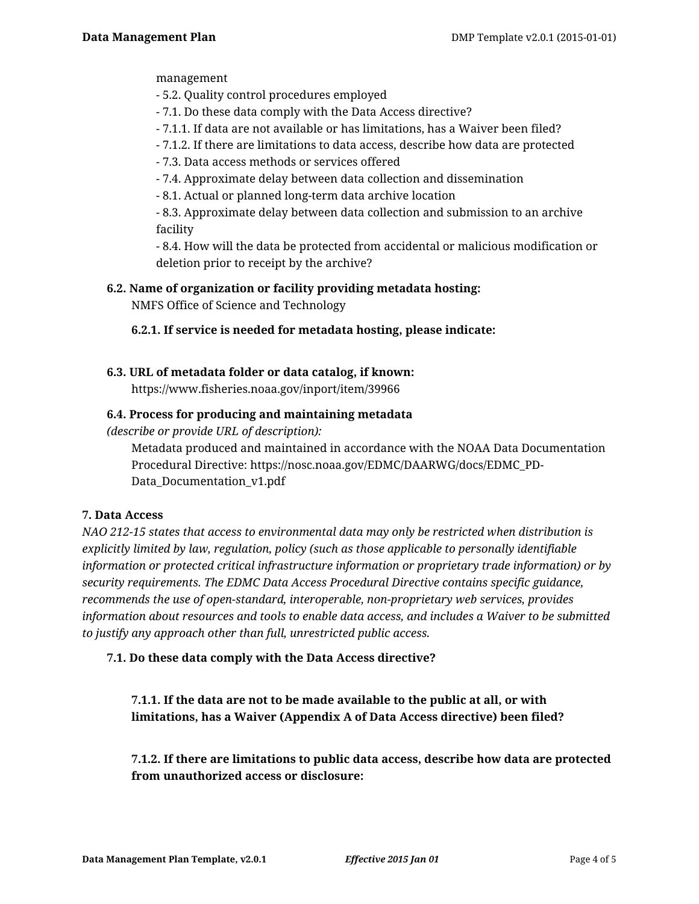management

- 5.2. Quality control procedures employed
- 7.1. Do these data comply with the Data Access directive?
- 7.1.1. If data are not available or has limitations, has a Waiver been filed?
- 7.1.2. If there are limitations to data access, describe how data are protected
- 7.3. Data access methods or services offered
- 7.4. Approximate delay between data collection and dissemination
- 8.1. Actual or planned long-term data archive location

- 8.3. Approximate delay between data collection and submission to an archive facility

- 8.4. How will the data be protected from accidental or malicious modification or deletion prior to receipt by the archive?

**6.2. Name of organization or facility providing metadata hosting:**

NMFS Office of Science and Technology

### **6.2.1. If service is needed for metadata hosting, please indicate:**

# **6.3. URL of metadata folder or data catalog, if known:**

https://www.fisheries.noaa.gov/inport/item/39966

### **6.4. Process for producing and maintaining metadata**

*(describe or provide URL of description):*

Metadata produced and maintained in accordance with the NOAA Data Documentation Procedural Directive: https://nosc.noaa.gov/EDMC/DAARWG/docs/EDMC\_PD-Data\_Documentation\_v1.pdf

### **7. Data Access**

*NAO 212-15 states that access to environmental data may only be restricted when distribution is explicitly limited by law, regulation, policy (such as those applicable to personally identifiable information or protected critical infrastructure information or proprietary trade information) or by security requirements. The EDMC Data Access Procedural Directive contains specific guidance, recommends the use of open-standard, interoperable, non-proprietary web services, provides information about resources and tools to enable data access, and includes a Waiver to be submitted to justify any approach other than full, unrestricted public access.*

### **7.1. Do these data comply with the Data Access directive?**

**7.1.1. If the data are not to be made available to the public at all, or with limitations, has a Waiver (Appendix A of Data Access directive) been filed?**

**7.1.2. If there are limitations to public data access, describe how data are protected from unauthorized access or disclosure:**